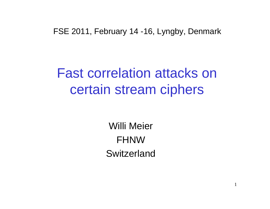FSE 2011, February 14 -16, Lyngby, Denmark

## Fast correlation attacks on certain stream ciphers

Willi MeierFHNWSwitzerland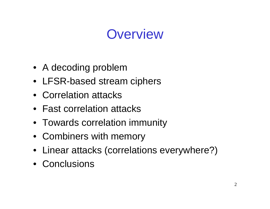# **Overview**

- A decoding problem
- LFSR-based stream ciphers
- Correlation attacks
- Fast correlation attacks
- Towards correlation immunity
- Combiners with memory
- Linear attacks (correlations everywhere?)
- Conclusions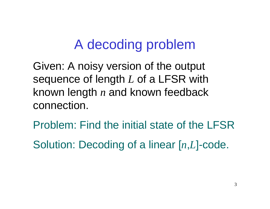## A decoding problem

Given: A noisy version of the output sequence of length *L* of a LFSR with known length *n* $\it n$  and known feedback connection.

Problem: Find the initial state of the LFSRSolution: Decoding of a linear [*<sup>n</sup>*,*L*]-code.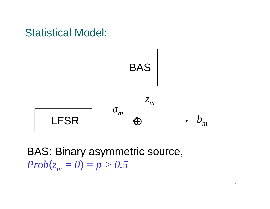

BAS: Binary asymmetric source, *Prob*( $z_m = 0$ ) =  $p > 0.5$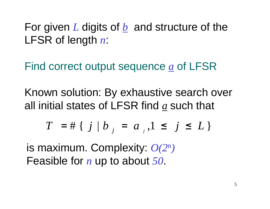For given *<sup>L</sup>* digits of *<sup>b</sup>* and structure of the LFSR of length *<sup>n</sup>*:

Find correct output sequence *<sup>a</sup>* of LFSR

Known solution: By exhaustive search overall initial states of LFSR find *<sup>a</sup>* such that

$$
T = # \{ j \mid b_{j} = a_{j}, 1 \leq j \leq L \}
$$

is maximum. Complexity: *O(2*n*)*Feasible for *<sup>n</sup>* up to about *<sup>50</sup>*.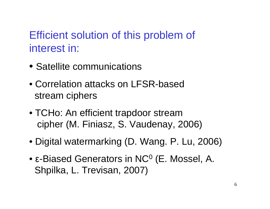### Efficient solution of this problem of interest in:

- Satellite communications
- Correlation attacks on LFSR-based stream ciphers
- TCHo: An efficient trapdoor stream cipher (M. Finiasz, S. Vaudenay, 2006)
- Digital watermarking (D. Wang. P. Lu, 2006)
- ε-Biased Generators in NC $^{\rm o}$  (E. Mossel, A.  $\,$ Shpilka, L. Trevisan, 2007)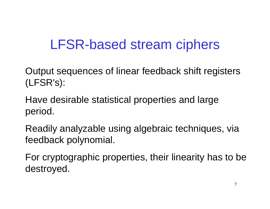# LFSR-based stream ciphers

Output sequences of linear feedback shift registers(LFSR's):

Have desirable statistical properties and large period.

Readily analyzable using algebraic techniques, via feedback polynomial.

For cryptographic properties, their linearity has to be destroyed.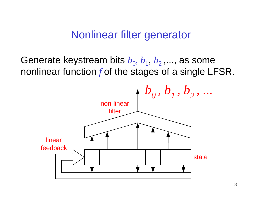#### Nonlinear filter generator

Generate keystream bits  $b_{0}$ ,  $b_{1}$ ,  $b_{2}$ ,..., as some nonlinear function *<sup>f</sup>* of the stages of a single LFSR.

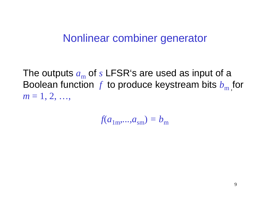#### Nonlinear combiner generator

The outputs  $a_{\rm m}$ Boolean function  $f$  to produce keystream bits  $b_{\rm m}$  of *s* $s$  LFSR's are used as input of a  $\,$  $_m$ , for *m* = 1, 2, …,

 $f(a_{1m},...,a_{sm}) = b_m$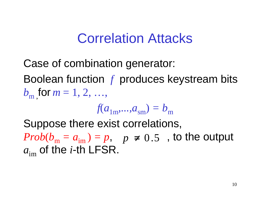## Correlation Attacks

Case of combination generator:

Boolean function  $f$  produces keystream bits  $b_{\rm m}$  for  $m=1,\,2,\,\ldots$  $_{\text{m}}$  , for *m* = 1, 2, …,

$$
f(a_{1m},...,a_{sm}) = b_m
$$

 Suppose there exist correlations, *Prob*(*b*m  $p = a_{\text{im}}$  (*p* + 0.5, to the output  $a_{\rm im}$  $_{\rm m}$  of the *i*-th LFSR.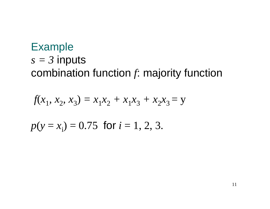### Example $s = 3$  inputs combination function *<sup>f</sup>*: majority function

$$
f(x_1, x_2, x_3) = x_1 x_2 + x_1 x_3 + x_2 x_3 = y
$$

$$
p(y = x_i) = 0.75
$$
 for  $i = 1, 2, 3$ .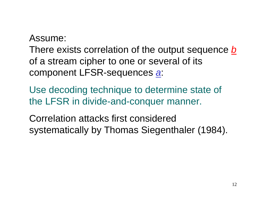Assume:

There exists correlation of the output sequence **b** of a stream cipher to one or several of its component LFSR-sequences a:

Use decoding technique to determine state of the LFSR in divide-and-conquer manner.

Correlation attacks first considered systematically by Thomas Siegenthaler (1984).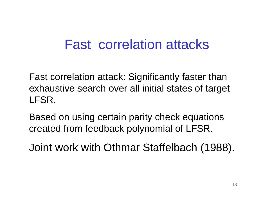## Fast correlation attacks

Fast correlation attack: Significantly faster than exhaustive search over all initial states of target LFSR.

Based on using certain parity check equationscreated from feedback polynomial of LFSR.

Joint work with Othmar Staffelbach (1988).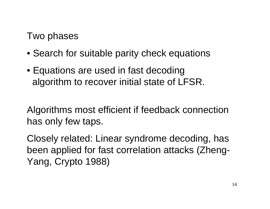Two phases

- Search for suitable parity check equations
- Equations are used in fast decodingalgorithm to recover initial state of LFSR.

Algorithms most efficient if feedback connectionhas only few taps.

Closely related: Linear syndrome decoding, has been applied for fast correlation attacks (Zheng-Yang, Crypto 1988)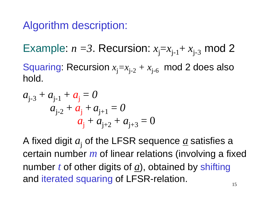#### Algorithm description:

Example:  $n =$ 3. Recursion:  $x_j = x_{j-1} + x_{j-3}$  mod 2

Squaring: Recursion  $x_j = x_{j-2} + x_{j-6} \mod 2$  does also hold.

$$
a_{j-3} + a_{j-1} + a_j = 0
$$
  
\n
$$
a_{j-2} + a_j + a_{j+1} = 0
$$
  
\n
$$
a_j + a_{j+2} + a_{j+3} = 0
$$

A fixed digit  $a_{\rm j}$  of the LFSR sequence <u> $a$ </u> satisfies a certain number*m* of linear relations (involving a fixed number*t* of other digits of *<sup>a</sup>*), obtained by shiftingand iterated squaring of LFSR-relation.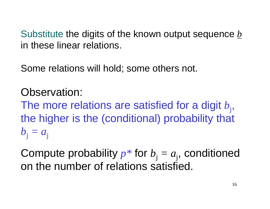Substitute the digits of the known output sequence *<sup>b</sup>* in these linear relations.

Some relations will hold; some others not.

Observation:The more relations are satisfied for a digit  $b_i$ , the higher is the (conditional) probability that  $b_{\rm j} = a_{\rm j}$ 

Compute probability  $p^*$  for  $b_j = a_j$ , conditioned on the number of relations satisfied.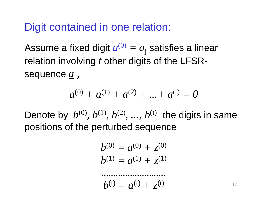#### Digit contained in one relation:

Assume a fixed digit  $a^{(0)}=a_{\rm j}$  satisfies a linear relation involving*t* other digits of the LFSRsequence*a,*

$$
a^{(0)} + a^{(1)} + a^{(2)} + \ldots + a^{(t)} = 0
$$

Denote by  $b^{(0)}, b^{(1)}, b^{(2)}, ..., b^{(t)}$  the digits in same positions of the perturbed sequence

$$
b^{(0)} = a^{(0)} + z^{(0)}
$$
  

$$
b^{(1)} = a^{(1)} + z^{(1)}
$$

*...........................*

$$
b^{(t)} = a^{(t)} + z^{(t)}
$$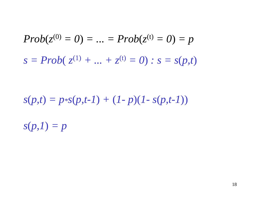$$
Prob(z^{(0)} = 0) = ... = Prob(z^{(t)} = 0) = p
$$
  

$$
s = Prob(z^{(1)} + ... + z^{(t)} = 0) : s = s(p, t)
$$

 $s(p,t) = p * s(p,t-1) + (1-p)(1 - s(p,t-1))$ 

*s*(*p,1*) *= p*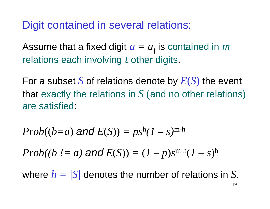Digit contained in several relations:

Assume that a fixed digit  $a=a_{\rm j}$  is contained in  $m$ relations each involving*t* other digits.

For a subset*S* of relations denote by *E*(*S*) the event that exactly the relations in *S* (and no other relations) are satisfied:

$$
Prob((b=a) \text{ and } E(S)) = ps^h(1-s)^{m-h}
$$

 $Prob((b := a)$  and  $E(S)) = (1-p)s^{m-h}(1-s)^h$ 

where *h = |S|* denotes the number of relations in *S*.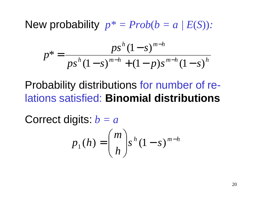New probability *<sup>p</sup>\* = Prob*(*b = a | E*(*S*))*:*

$$
p^* = \frac{ps^h (1 - s)^{m - h}}{ps^h (1 - s)^{m - h} + (1 - p)s^{m - h} (1 - s)^h}
$$

#### Probability distributions for number of relations satisfied: **Binomial distributions**

Correct digits: *b = a*

$$
p_1(h) = {m \choose h} s^h (1-s)^{m-h}
$$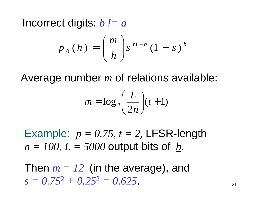Incorrect digits: *b != a*

$$
p_0(h) = {m \choose h} s^{m-h} (1-s)^h
$$

Average number *<sup>m</sup>* $m$  of relations available:

$$
m = \log_2\left(\frac{L}{2n}\right)(t+1)
$$

Example:  $p = 0.75$ ,  $t = 2$ , LFSR-length  $n = 100$ ,  $L = 5000$  output bits of *b*.

Then  $m = 12$  (in the average), and *s = 0.75*<sup>2</sup> *+ 0.25*<sup>2</sup> *= 0.625.*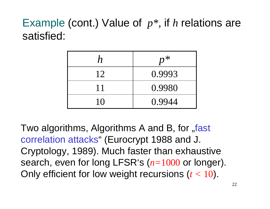### Example (cont.) Value of *p\*,* if *<sup>h</sup>* relations are satisfied:

| $\boldsymbol{n}$ | $p^{\, *}$ |
|------------------|------------|
| 12               | 0.9993     |
| 11               | 0.9980     |
| 10               | 0.9944     |

Two algorithms, Algorithms A and B, for "fast correlation attacks" (Eurocrypt 1988 and J. Cryptology, 1989). Much faster than exhaustive search, even for long LFSR's (*n=*<sup>1000</sup> or longer). Only efficient for low weight recursions (*t <* 10).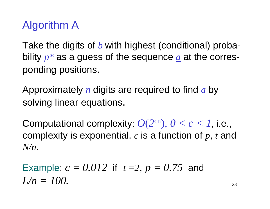#### Algorithm A

Take the digits of *<sup>b</sup>* with highest (conditional) probability *<sup>p</sup>\** as a guess of the sequence *<sup>a</sup>* at the corresponding positions.

Approximately *<sup>n</sup>* digits are required to find *<sup>a</sup>* by solving linear equations.

Computational complexity:  $O(2^{cn})$ ,  $0 < c < 1$ , i.e., complexity is exponential. *<sup>c</sup>* is a function of *p*, *<sup>t</sup>* and *N/n*.

Example:  $c = 0.012\,$  if  $\,$   $t$  =2,  $p = 0.75\,$  and *L/n = 100.*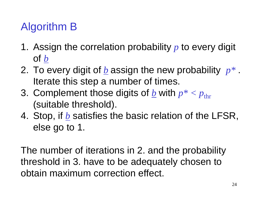### Algorithm B

- 1. Assign the correlation probability *<sup>p</sup>* to every digit of *b*
- 2. To every digit of *<sup>b</sup>* assign the new probability *<sup>p</sup>\** . Iterate this step a number of times.
- 3. Complement those digits of <u>b</u> with  $p^*$  <  $p_{\rm thr}$ (suitable threshold).
- 4. Stop, if *<sup>b</sup>* satisfies the basic relation of the LFSR, else go to 1.

The number of iterations in 2. and the probability threshold in 3. have to be adequately chosen to obtain maximum correction effect.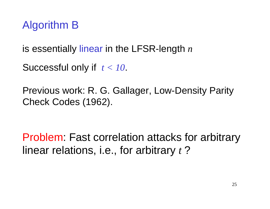#### Algorithm B

is essentially linear in the LFSR-length *<sup>n</sup>*

```
Successful only if t < 10.
```
Previous work: R. G. Gallager, Low-Density Parity Check Codes (1962).

Problem: Fast correlation attacks for arbitrarylinear relations, i.e., for arbitrary *<sup>t</sup>*?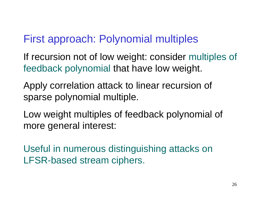#### First approach: Polynomial multiples

If recursion not of low weight: consider multiples of feedback polynomial that have low weight.

Apply correlation attack to linear recursion of sparse polynomial multiple.

Low weight multiples of feedback polynomial of more general interest:

Useful in numerous distinguishing attacks on LFSR-based stream ciphers.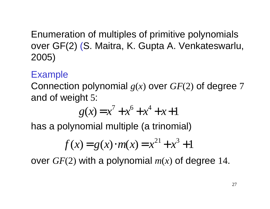Enumeration of multiples of primitive polynomials over GF(2) (S. Maitra, K. Gupta A. Venkateswarlu, 2005)

#### Example

 Connection polynomial *g*(*x*) over *GF*(2) of degree <sup>7</sup> and of weight 5:

$$
g(x) = x^7 + x^6 + x^4 + x + 1
$$

has a polynomial multiple (a trinomial)

$$
f(x) = g(x) \cdot m(x) = x^{21} + x^3 + 1
$$

over *GF*(2) with a polynomial *m*(*x*) of degree 14.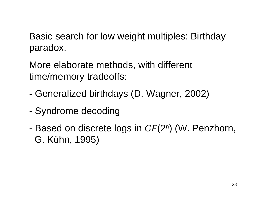Basic search for low weight multiples: Birthday paradox.

More elaborate methods, with different time/memory tradeoffs:

- Generalized birthdays (D. Wagner, 2002)
- Syndrome decoding
- - Based on discrete logs in *GF*(2n) (W. Penzhorn, G. Kühn, 1995)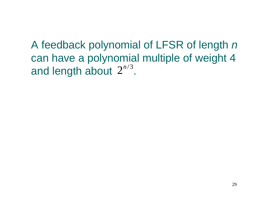A feedback polynomial of LFSR of length n can have a polynomial multiple of weight 4 and length about  $2^{n/3}$ .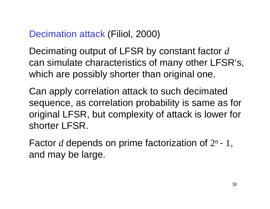### Decimation attack (Filiol, 2000)

Decimating output of LFSR by constant factor *<sup>d</sup>* can simulate characteristics of many other LFSR's, which are possibly shorter than original one.

Can apply correlation attack to such decimated sequence, as correlation probability is same as fororiginal LFSR, but complexity of attack is lower forshorter LFSR.

Factor  $d$  depends on prime factorization of  $2^n$ -1, and may be large.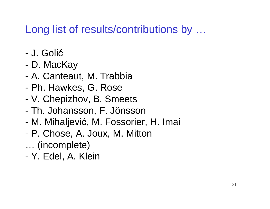### Long list of results/contributions by ...

- -J. Goli ć
- D. MacKay
- A. Canteaut, M. Trabbia
- Ph. Hawkes, G. Rose
- V. Chepizhov, B. Smeets
- -Th. Johansson, F. Jönsson
- M. Mihaljevi ć, M. Fossorier, H. Imai
- P. Chose, A. Joux, M. Mitton
- … (incomplete)
- Y. Edel, A. Klein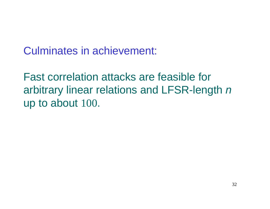Culminates in achievement:

Fast correlation attacks are feasible forarbitrary linear relations and LFSR-length  $n$ up to about 100.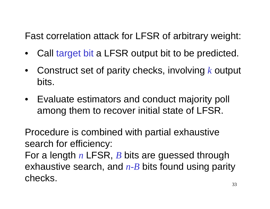Fast correlation attack for LFSR of arbitrary weight:

- •Call target bit a LFSR output bit to be predicted.
- • Construct set of parity checks, involving*k* output bits.
- Evaluate estimators and conduct majority poll among them to recover initial state of LFSR.

Procedure is combined with partial exhaustivesearch for efficiency:

For a length*n* exhaustive search, and *n-B* bits found using parity n LFSR, *B* bits are guessed through checks.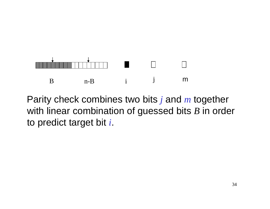

Parity check combines two bits *j* and *<sup>m</sup>* together with linear combination of guessed bits *<sup>B</sup>* in order to predict target bit *<sup>i</sup>*.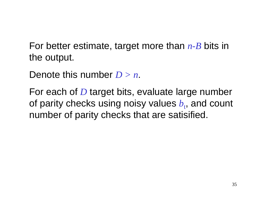For better estimate, target more than *n-B* bits in the output.

Denote this number *D > n*.

For each of *D* target bits, evaluate large number<br>ef narity also also uning naisy unluse *Learnel securi* of parity checks using noisy values  $b_{\rm t}$ , and count number of parity checks that are satisified.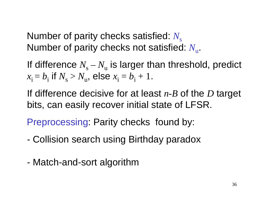Number of parity checks satisfied:  $N_{\rm s}$ Number of parity checks not satisfied: *N*u.

If difference  $N_{\rm s}$  $x_i = b_i$  if  $N_s > N_u$ ,  $N_{\mathrm{u}}$  is larger than threshold, predict  $b_i$  if  $N_s > N_u$ , else  $x_i =$  $b_{\rm i}$  + 1.

If difference decisive for at least *n-B* of the *D* target bits, can easily recover initial state of LFSR.

Preprocessing: Parity checks found by:

- Collision search using Birthday paradox
- Match-and-sort algorithm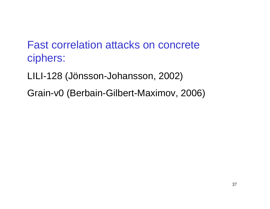#### Fast correlation attacks on concrete ciphers:

- LILI-128 (Jönsson-Johansson, 2002)
- Grain-v0 (Berbain-Gilbert-Maximov, 2006)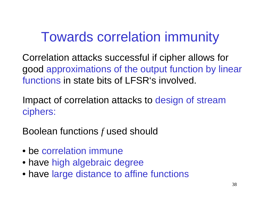# Towards correlation immunity

Correlation attacks successful if cipher allows forgood approximations of the output function by linearfunctions in state bits of LFSR's involved.

Impact of correlation attacks to design of streamciphers:

Boolean functions*f* used should

- be correlation immune
- have high algebraic degree
- have large distance to affine functions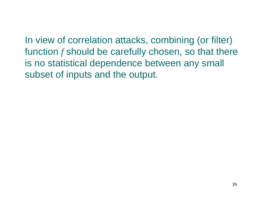In view of correlation attacks, combining (or filter) function*f* should be carefully chosen, so that there is no statistical dependence between any small subset of inputs and the output.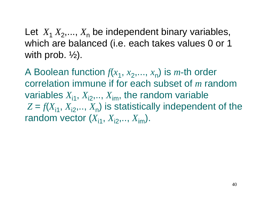Let *X*<sub>1</sub> *X*<sub>2</sub>,..., *X*<sub>n</sub> be independent binary variables, which are balanced (i.e. each takes values 0 or 1 with prob.  $\frac{1}{2}$ ).

A Boolean function  $f(x_1, x_2,..., x_n)$  is *m*-th order correlation immune if for each subset of *<sup>m</sup>* randomvariables  $X_{i1}$ ,  $X_{i2}$ ,..,  $X_{im}$ , the random variable  $Z = f(X_{i1}, X_{i2}, \ldots, X_n)$  is statistically independent of the random vector  $(X_{i1}, X_{i2},..., X_{im})$ .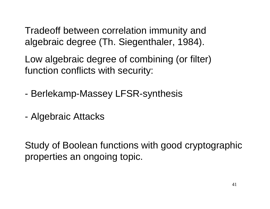Tradeoff between correlation immunity and algebraic degree (Th. Siegenthaler, 1984).

Low algebraic degree of combining (or filter) function conflicts with security:

- -Berlekamp-Massey LFSR-synthesis
- Algebraic Attacks

Study of Boolean functions with good cryptographicproperties an ongoing topic.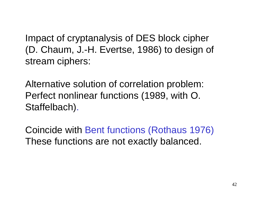Impact of cryptanalysis of DES block cipher(D. Chaum, J.-H. Evertse, 1986) to design of stream ciphers:

Alternative solution of correlation problem: Perfect nonlinear functions (1989, with O. Staffelbach).

Coincide with Bent functions (Rothaus 1976) These functions are not exactly balanced.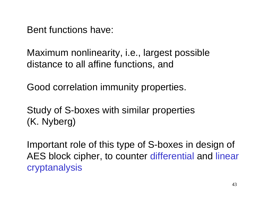Bent functions have:

Maximum nonlinearity, i.e., largest possibledistance to all affine functions, and

Good correlation immunity properties.

Study of S-boxes with similar properties (K. Nyberg)

Important role of this type of S-boxes in design of AES block cipher, to counter differential and linear cryptanalysis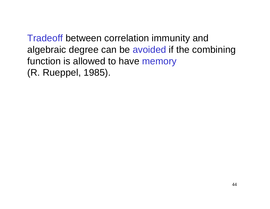Tradeoff between correlation immunity and algebraic degree can be avoided if the combining function is allowed to have memory (R. Rueppel, 1985).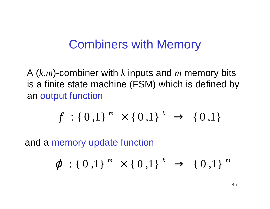### Combiners with Memory

A (*<sup>k</sup>*,*<sup>m</sup>*)-combiner with*k* inputs and *m* memory bits is a finite state machine (FSM) which is defined byan output function

$$
f: \{0,1\}^m \times \{0,1\}^k \rightarrow \{0,1\}
$$

and a memory update function

$$
\varphi : \{ 0,1 \}^m \times \{ 0,1 \}^k \rightarrow \{ 0,1 \}^m
$$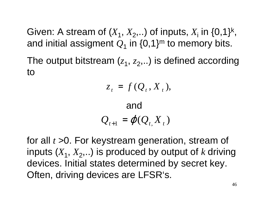Given: A stream of  $(X_1, X_2, ...)$  of inputs,  $X_i$  in  $\{0,1\}^k$ , and initial assigment  $\mathcal{Q}_1$  in {0,1}<sup>m</sup> to memory bits.

The output bitstream  $(z_1, z_2, ...)$  is defined according to

$$
z_t = f(Q_t, X_t),
$$

and  

$$
Q_{t+1} = \varphi(Q_{t, X_{t}})
$$

for all *<sup>t</sup>* >0. For keystream generation, stream of inputs  $(X_1,\,X_2,..)$  is produced by output of  $k$  driving devices. Initial states determined by secret key. Often, driving devices are LFSR's.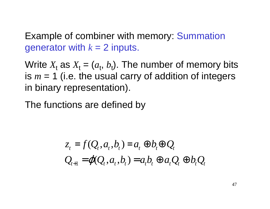Example of combiner with memory: Summationgenerator with  $k$  = 2 inputs.

Write  $X_t$  as  $X_t = 0$ is  $m=1$  (i.e. the usual carry of addition of integers  $a_{\rm t},\, b_{\rm t}$ ). The number of memory bits in binary representation).  $m = 1$  (i.e. the usual carry of addition of integers

The functions are defined by

$$
z_t = f(Q_t, a_t, b_t) = a_t \oplus b_t \oplus Q_t
$$
  

$$
Q_{t+1} = \varphi(Q_t, a_t, b_t) = a_t b_t \oplus a_t Q_t \oplus b_t Q_t
$$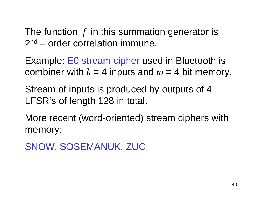The function *<sup>f</sup>* in this summation generator is 2<sup>nd</sup> – order correlation immune.

Example: E0 stream cipher used in Bluetooth iscombiner with  $k = 4$  inputs and  $m = 4$  bit memory.

Stream of inputs is produced by outputs of 4 LFSR's of length 128 in total.

More recent (word-oriented) stream ciphers with memory:

```
SNOW, SOSEMANUK, ZUC.
```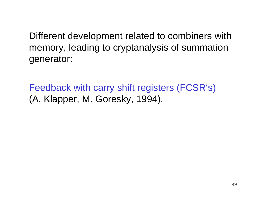Different development related to combiners with memory, leading to cryptanalysis of summationgenerator:

Feedback with carry shift registers (FCSR's) (A. Klapper, M. Goresky, 1994).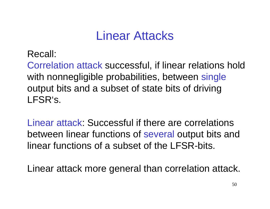### Linear Attacks

Recall:

Correlation attack successful, if linear relations hold with nonnegligible probabilities, between single output bits and a subset of state bits of drivingLFSR's.

Linear attack: Successful if there are correlations between linear functions of several output bits and linear functions of a subset of the LFSR-bits.

Linear attack more general than correlation attack.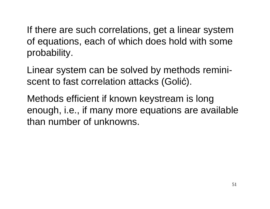If there are such correlations, get a linear systemof equations, each of which does hold with someprobability.

Linear system can be solved by methods reminiscent to fast correlation attacks (Goli ć).

Methods efficient if known keystream is long enough, i.e., if many more equations are availablethan number of unknowns.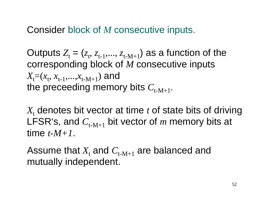Consider block of *<sup>M</sup>* consecutive inputs.

Outputs  $Z_{\text{t}} = (z_{\text{t}}, \, z_{\text{t-1}}, \ldots, \, z_{\text{t-M+1}})$  as a function of the corresponding block of *<sup>M</sup>* consecutive inputs  $X_{\mathsf{t}}\mathsf{=} (x_{\mathsf{t}}, \, x_{\mathsf{t-1}},\! \dots, \! \allowbreak x_{\mathsf{t-M+1}})$  and the preceeding memory bits  $C_\mathrm{t-M+1}.$ 

 $X_{\rm t}$  denotes bit vector at time  $t$  of state bits of driving LFSR's, and *C*t-M+1 bit vector of *<sup>m</sup>* memory bits at time *t-M+1*.

Assume that  $X_t$  and  $C_{t-M+1}$  are balanced and mutually independent.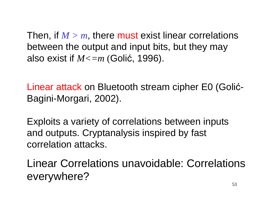Then, if  $M > m$ , there must exist linear correlations between the output and input bits, but they mayalso exist if *M<=m* (Golić, 1996).

Linear attack on Bluetooth stream cipher E0 (Golić-<br>Bagini-Morgari, 2002).

Exploits a variety of correlations between inputsand outputs. Cryptanalysis inspired by fast correlation attacks.

Linear Correlations unavoidable: Correlationseverywhere?